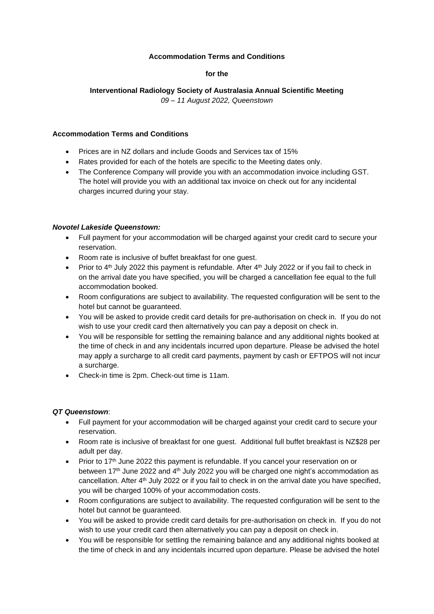## **Accommodation Terms and Conditions**

## **for the**

# **Interventional Radiology Society of Australasia Annual Scientific Meeting**

*09 – 11 August 2022, Queenstown*

#### **Accommodation Terms and Conditions**

- Prices are in NZ dollars and include Goods and Services tax of 15%
- Rates provided for each of the hotels are specific to the Meeting dates only.
- The Conference Company will provide you with an accommodation invoice including GST. The hotel will provide you with an additional tax invoice on check out for any incidental charges incurred during your stay.

#### *Novotel Lakeside Queenstown:*

- Full payment for your accommodation will be charged against your credit card to secure your reservation.
- Room rate is inclusive of buffet breakfast for one guest.
- Prior to  $4<sup>th</sup>$  July 2022 this payment is refundable. After  $4<sup>th</sup>$  July 2022 or if you fail to check in on the arrival date you have specified, you will be charged a cancellation fee equal to the full accommodation booked.
- Room configurations are subject to availability. The requested configuration will be sent to the hotel but cannot be guaranteed.
- You will be asked to provide credit card details for pre-authorisation on check in. If you do not wish to use your credit card then alternatively you can pay a deposit on check in.
- You will be responsible for settling the remaining balance and any additional nights booked at the time of check in and any incidentals incurred upon departure. Please be advised the hotel may apply a surcharge to all credit card payments, payment by cash or EFTPOS will not incur a surcharge.
- Check-in time is 2pm. Check-out time is 11am.

#### *QT Queenstown*:

- Full payment for your accommodation will be charged against your credit card to secure your reservation.
- Room rate is inclusive of breakfast for one guest. Additional full buffet breakfast is NZ\$28 per adult per day.
- Prior to 17<sup>th</sup> June 2022 this payment is refundable. If you cancel your reservation on or between 17<sup>th</sup> June 2022 and 4<sup>th</sup> July 2022 you will be charged one night's accommodation as cancellation. After 4<sup>th</sup> July 2022 or if you fail to check in on the arrival date you have specified, you will be charged 100% of your accommodation costs.
- Room configurations are subject to availability. The requested configuration will be sent to the hotel but cannot be guaranteed.
- You will be asked to provide credit card details for pre-authorisation on check in. If you do not wish to use your credit card then alternatively you can pay a deposit on check in.
- You will be responsible for settling the remaining balance and any additional nights booked at the time of check in and any incidentals incurred upon departure. Please be advised the hotel